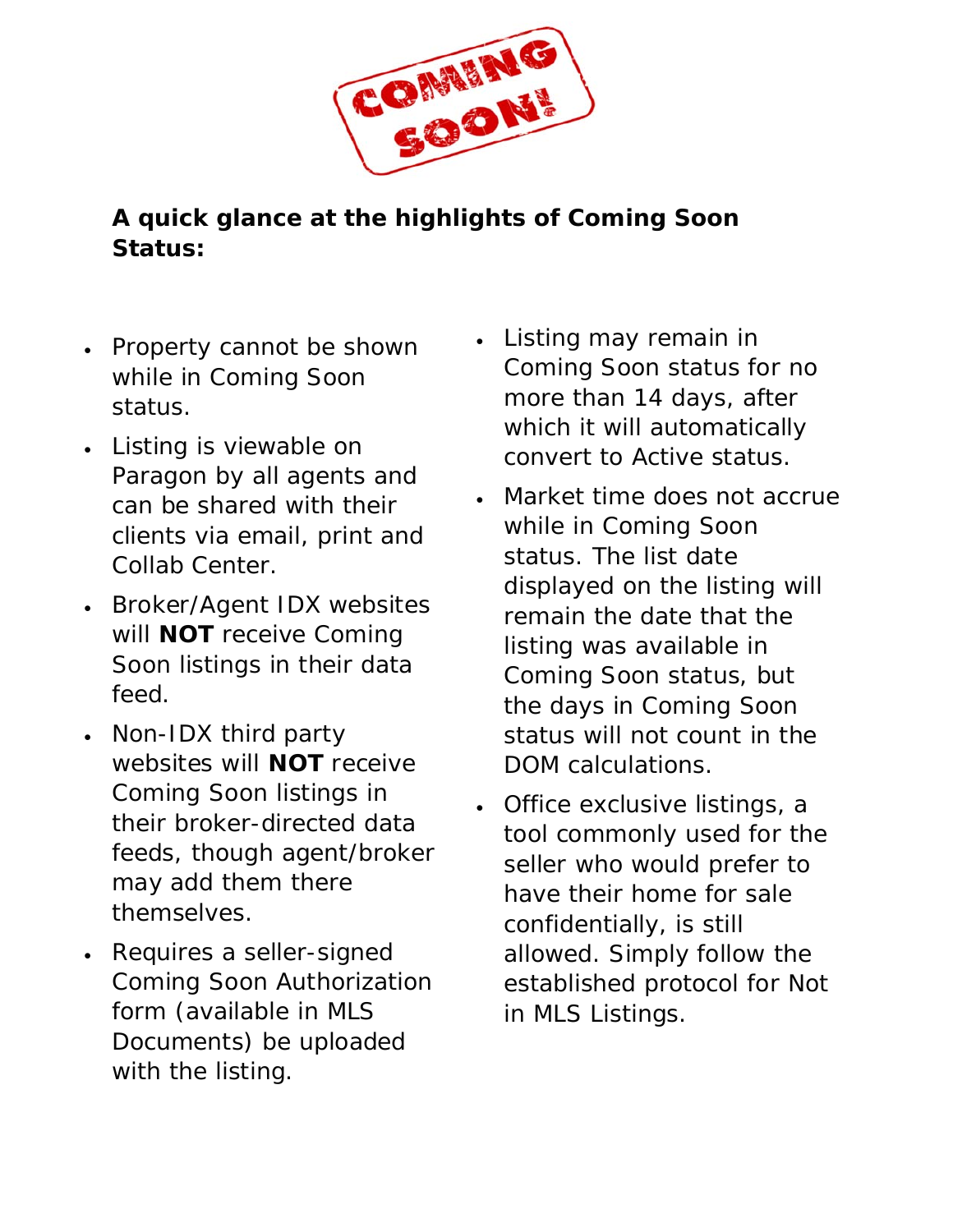

## **A quick glance at the highlights of Coming Soon Status:**

- Property cannot be shown while in Coming Soon status.
- Listing is viewable on Paragon by all agents and can be shared with their clients via email, print and Collab Center.
- Broker/Agent IDX websites will **NOT** receive Coming Soon listings in their data feed.
- Non-IDX third party websites will **NOT** receive Coming Soon listings in their broker-directed data feeds, though agent/broker may add them there themselves.
- Requires a seller-signed Coming Soon Authorization form (available in MLS Documents) be uploaded with the listing.
- Listing may remain in Coming Soon status for no more than 14 days, after which it will automatically convert to Active status.
- Market time does not accrue while in Coming Soon status. The list date displayed on the listing will remain the date that the listing was available in Coming Soon status, but the days in Coming Soon status will not count in the DOM calculations.
- Office exclusive listings, a tool commonly used for the seller who would prefer to have their home for sale confidentially, is still allowed. Simply follow the established protocol for Not in MLS Listings.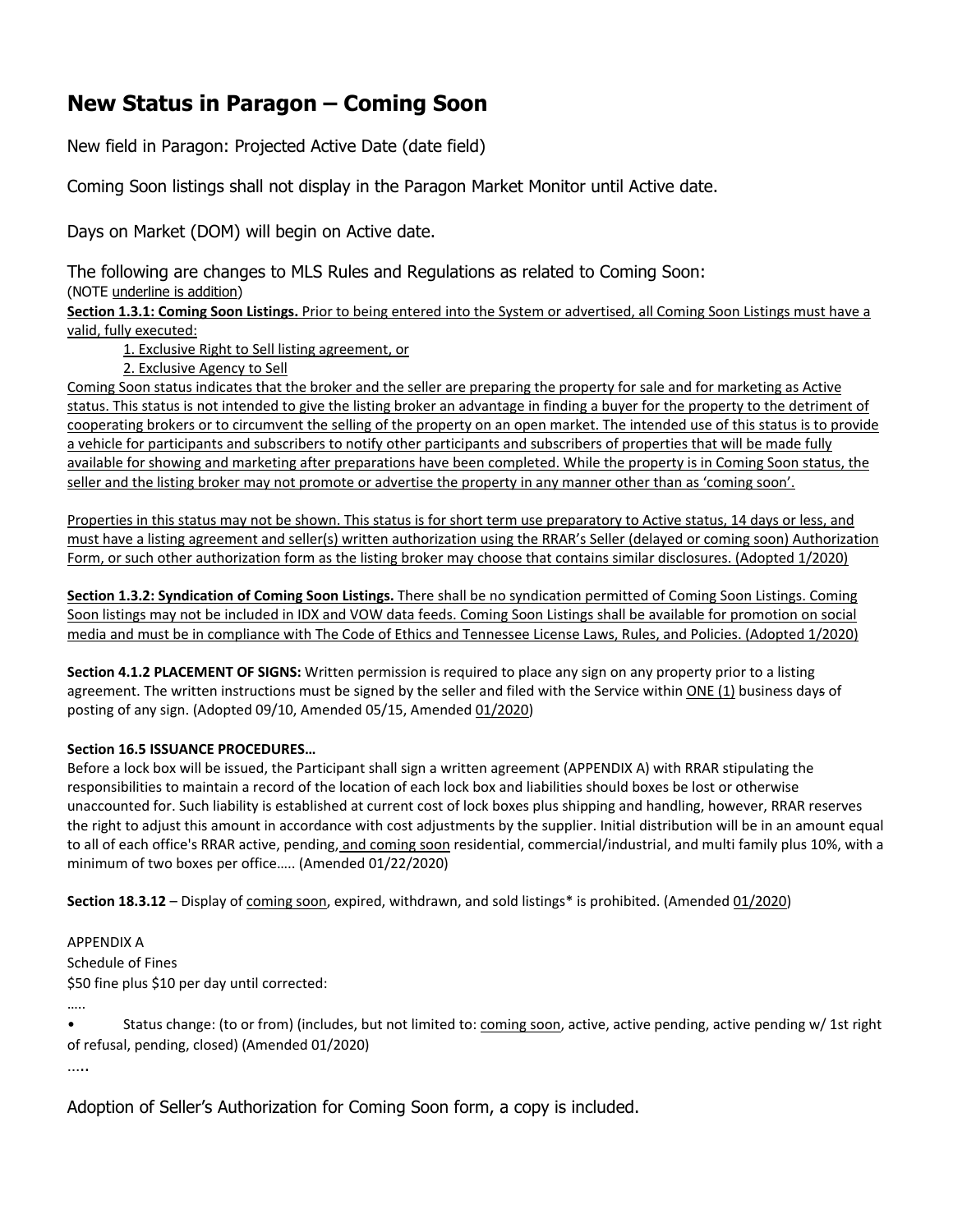### **New Status in Paragon – Coming Soon**

New field in Paragon: Projected Active Date (date field)

Coming Soon listings shall not display in the Paragon Market Monitor until Active date.

Days on Market (DOM) will begin on Active date.

The following are changes to MLS Rules and Regulations as related to Coming Soon:

(NOTE underline is addition)

**Section 1.3.1: Coming Soon Listings.** Prior to being entered into the System or advertised, all Coming Soon Listings must have a valid, fully executed:

1. Exclusive Right to Sell listing agreement, or

2. Exclusive Agency to Sell

Coming Soon status indicates that the broker and the seller are preparing the property for sale and for marketing as Active status. This status is not intended to give the listing broker an advantage in finding a buyer for the property to the detriment of cooperating brokers or to circumvent the selling of the property on an open market. The intended use of this status is to provide a vehicle for participants and subscribers to notify other participants and subscribers of properties that will be made fully available for showing and marketing after preparations have been completed. While the property is in Coming Soon status, the seller and the listing broker may not promote or advertise the property in any manner other than as 'coming soon'.

Properties in this status may not be shown. This status is for short term use preparatory to Active status, 14 days or less, and must have a listing agreement and seller(s) written authorization using the RRAR's Seller (delayed or coming soon) Authorization Form, or such other authorization form as the listing broker may choose that contains similar disclosures. (Adopted 1/2020)

**Section 1.3.2: Syndication of Coming Soon Listings.** There shall be no syndication permitted of Coming Soon Listings. Coming Soon listings may not be included in IDX and VOW data feeds. Coming Soon Listings shall be available for promotion on social media and must be in compliance with The Code of Ethics and Tennessee License Laws, Rules, and Policies. (Adopted 1/2020)

**Section 4.1.2 PLACEMENT OF SIGNS:** Written permission is required to place any sign on any property prior to a listing agreement. The written instructions must be signed by the seller and filed with the Service within ONE (1) business days of posting of any sign. (Adopted 09/10, Amended 05/15, Amended 01/2020)

#### **Section 16.5 ISSUANCE PROCEDURES…**

Before a lock box will be issued, the Participant shall sign a written agreement (APPENDIX A) with RRAR stipulating the responsibilities to maintain a record of the location of each lock box and liabilities should boxes be lost or otherwise unaccounted for. Such liability is established at current cost of lock boxes plus shipping and handling, however, RRAR reserves the right to adjust this amount in accordance with cost adjustments by the supplier. Initial distribution will be in an amount equal to all of each office's RRAR active, pending, and coming soon residential, commercial/industrial, and multi family plus 10%, with a minimum of two boxes per office….. (Amended 01/22/2020)

Section 18.3.12 – Display of coming soon, expired, withdrawn, and sold listings\* is prohibited. (Amended 01/2020)

APPENDIX A Schedule of Fines \$50 fine plus \$10 per day until corrected:

Status change: (to or from) (includes, but not limited to: coming soon, active, active pending, active pending w/ 1st right of refusal, pending, closed) (Amended 01/2020)

….

…..

Adoption of Seller's Authorization for Coming Soon form, a copy is included.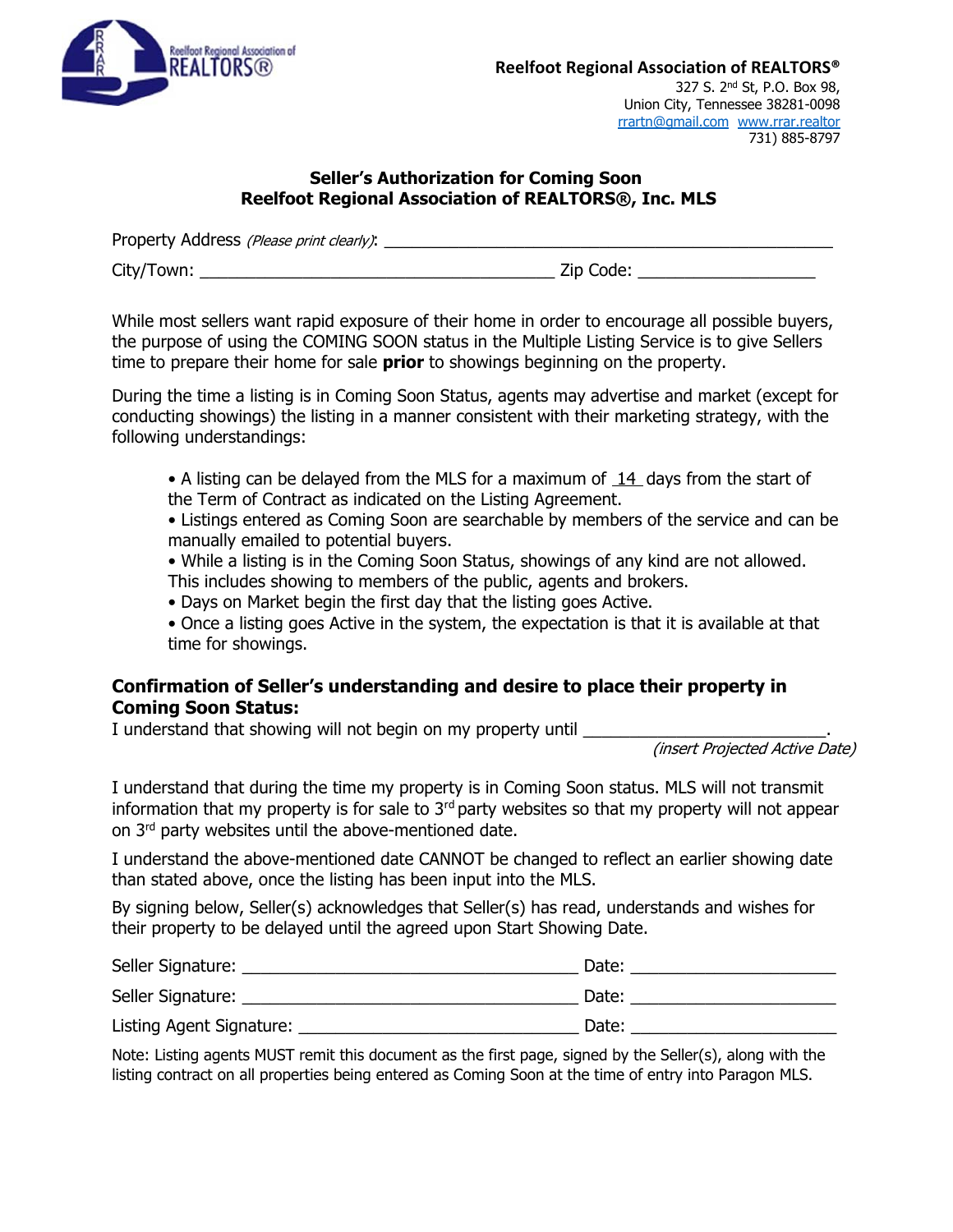

327 S. 2nd St, P.O. Box 98, Union City, Tennessee 38281-0098 rrartn@gmail.com www.rrar.realtor 731) 885-8797

### **Seller's Authorization for Coming Soon Reelfoot Regional Association of REALTORS®, Inc. MLS**

| Property Address (Please print clearly): |           |
|------------------------------------------|-----------|
| City/Town:                               | Zip Code: |

While most sellers want rapid exposure of their home in order to encourage all possible buyers, the purpose of using the COMING SOON status in the Multiple Listing Service is to give Sellers time to prepare their home for sale **prior** to showings beginning on the property.

During the time a listing is in Coming Soon Status, agents may advertise and market (except for conducting showings) the listing in a manner consistent with their marketing strategy, with the following understandings:

• A listing can be delayed from the MLS for a maximum of  $14$  days from the start of the Term of Contract as indicated on the Listing Agreement.

• Listings entered as Coming Soon are searchable by members of the service and can be manually emailed to potential buyers.

- While a listing is in the Coming Soon Status, showings of any kind are not allowed. This includes showing to members of the public, agents and brokers.
- Days on Market begin the first day that the listing goes Active.

• Once a listing goes Active in the system, the expectation is that it is available at that time for showings.

### **Confirmation of Seller's understanding and desire to place their property in Coming Soon Status:**

I understand that showing will not begin on my property until

(insert Projected Active Date)

I understand that during the time my property is in Coming Soon status. MLS will not transmit information that my property is for sale to  $3<sup>rd</sup>$  party websites so that my property will not appear on 3<sup>rd</sup> party websites until the above-mentioned date.

I understand the above-mentioned date CANNOT be changed to reflect an earlier showing date than stated above, once the listing has been input into the MLS.

By signing below, Seller(s) acknowledges that Seller(s) has read, understands and wishes for their property to be delayed until the agreed upon Start Showing Date.

| Seller Signature:        | Date: |
|--------------------------|-------|
| Seller Signature:        | Date: |
| Listing Agent Signature: | Date: |

Note: Listing agents MUST remit this document as the first page, signed by the Seller(s), along with the listing contract on all properties being entered as Coming Soon at the time of entry into Paragon MLS.